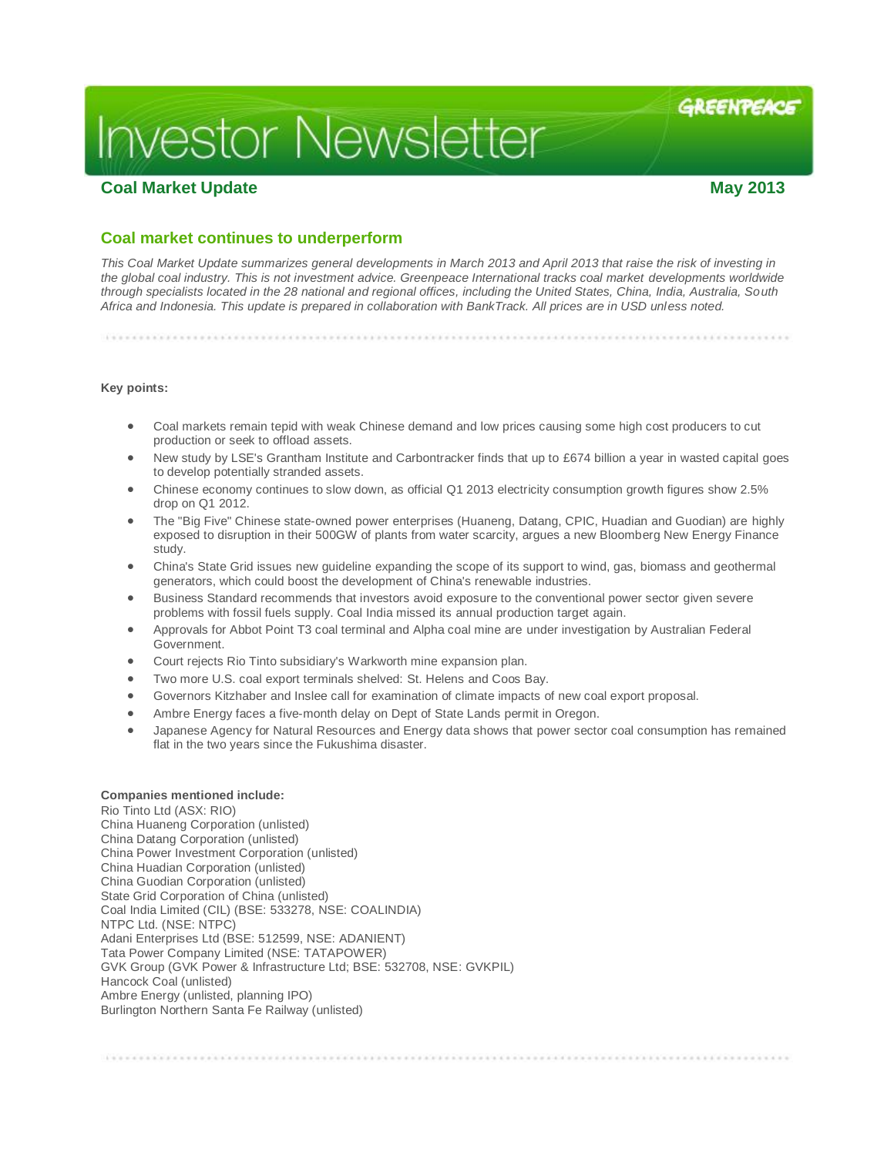# **Investor Newsletter**

# **Coal Market Update May 2013**

**GREENPEACE** 

## **Coal market continues to underperform**

*This Coal Market Update summarizes general developments in March 2013 and April 2013 that raise the risk of investing in the global coal industry. This is not investment advice. Greenpeace International tracks coal market developments worldwide through specialists located in the 28 national and regional offices, including the United States, China, India, Australia, South Africa and Indonesia. This update is prepared in collaboration with BankTrack. All prices are in USD unless noted.*

**Key points:**

- Coal markets remain tepid with weak Chinese demand and low prices causing some high cost producers to cut production or seek to offload assets.
- New study by LSE's Grantham Institute and Carbontracker finds that up to £674 billion a year in wasted capital goes to develop potentially stranded assets.
- Chinese economy continues to slow down, as official Q1 2013 electricity consumption growth figures show 2.5% drop on Q1 2012.
- The "Big Five" Chinese state-owned power enterprises (Huaneng, Datang, CPIC, Huadian and Guodian) are highly exposed to disruption in their 500GW of plants from water scarcity, argues a new Bloomberg New Energy Finance study.
- China's State Grid issues new guideline expanding the scope of its support to wind, gas, biomass and geothermal generators, which could boost the development of China's renewable industries.
- Business Standard recommends that investors avoid exposure to the conventional power sector given severe problems with fossil fuels supply. Coal India missed its annual production target again.
- Approvals for Abbot Point T3 coal terminal and Alpha coal mine are under investigation by Australian Federal Government.
- Court rejects Rio Tinto subsidiary's Warkworth mine expansion plan.
- Two more U.S. coal export terminals shelved: St. Helens and Coos Bay.
- Governors Kitzhaber and Inslee call for examination of climate impacts of new coal export proposal.
- Ambre Energy faces a five-month delay on Dept of State Lands permit in Oregon.
- Japanese Agency for Natural Resources and Energy data shows that power sector coal consumption has remained flat in the two years since the Fukushima disaster.

#### **Companies mentioned include:**

Rio Tinto Ltd (ASX: RIO) China Huaneng Corporation (unlisted) China Datang Corporation (unlisted) China Power Investment Corporation (unlisted) China Huadian Corporation (unlisted) China Guodian Corporation (unlisted) State Grid Corporation of China (unlisted) Coal India Limited (CIL) (BSE: 533278, NSE: COALINDIA) NTPC Ltd. (NSE: NTPC) Adani Enterprises Ltd (BSE: 512599, NSE: ADANIENT) Tata Power Company Limited (NSE: TATAPOWER) GVK Group (GVK Power & Infrastructure Ltd; BSE: 532708, NSE: GVKPIL) Hancock Coal (unlisted) Ambre Energy (unlisted, planning IPO) Burlington Northern Santa Fe Railway (unlisted)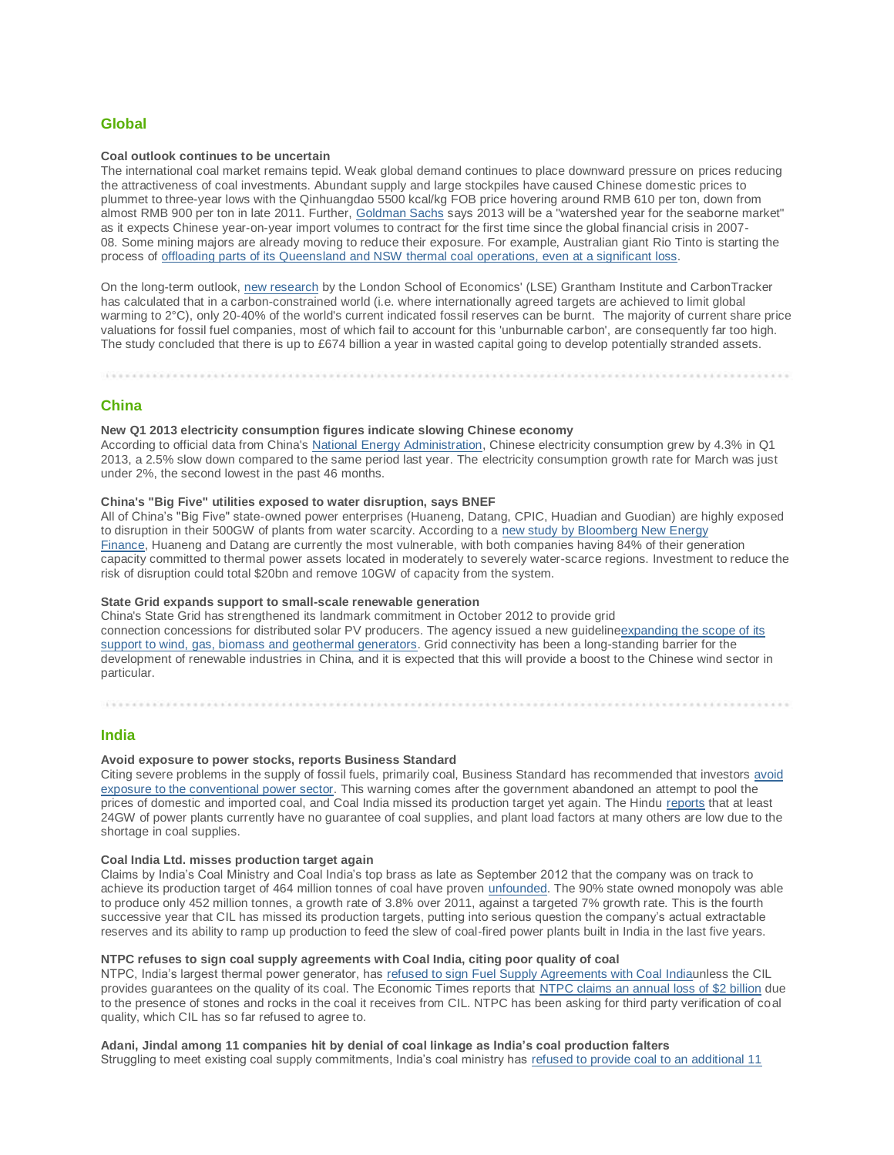## **Global**

#### **Coal outlook continues to be uncertain**

The international coal market remains tepid. Weak global demand continues to place downward pressure on prices reducing the attractiveness of coal investments. Abundant supply and large stockpiles have caused Chinese domestic prices to plummet to three-year lows with the Qinhuangdao 5500 kcal/kg FOB price hovering around RMB 610 per ton, down from almost RMB 900 per ton in late 2011. Further, [Goldman Sachs](http://www.platts.com/RSSFeedDetailedNews/RSSFeed/Coal/8290812) says 2013 will be a "watershed year for the seaborne market" as it expects Chinese year-on-year import volumes to contract for the first time since the global financial crisis in 2007- 08. Some mining majors are already moving to reduce their exposure. For example, Australian giant Rio Tinto is starting the process of [offloading parts of its Queensland and NSW thermal coal operations, even at a significant loss.](http://online.wsj.com/article/SB10001424127887323296504578399463110726302.html)

On the long-term outlook, [new research](http://carbontracker.live.kiln.it/Unburnable-Carbon-2-Web-Version.pdf) by the London School of Economics' (LSE) Grantham Institute and CarbonTracker has calculated that in a carbon-constrained world (i.e. where internationally agreed targets are achieved to limit global warming to 2°C), only 20-40% of the world's current indicated fossil reserves can be burnt. The majority of current share price valuations for fossil fuel companies, most of which fail to account for this 'unburnable carbon', are consequently far too high. The study concluded that there is up to £674 billion a year in wasted capital going to develop potentially stranded assets.

## **China**

#### **New Q1 2013 electricity consumption figures indicate slowing Chinese economy**

According to official data from China's [National Energy Administration,](http://www.nea.gov.cn/2013-04/14/c_132307804.htm) Chinese electricity consumption grew by 4.3% in Q1 2013, a 2.5% slow down compared to the same period last year. The electricity consumption growth rate for March was just under 2%, the second lowest in the past 46 months.

## **China's "Big Five" utilities exposed to water disruption, says BNEF**

All of China's "Big Five" state-owned power enterprises (Huaneng, Datang, CPIC, Huadian and Guodian) are highly exposed to disruption in their 500GW of plants from water scarcity. According to a new study by Bloomberg New Energy [Finance,](http://about.bnef.com/files/2013/03/BNEF_ExecSum_2013-03-25_China-power-utilities-in-hot-water.pdf) Huaneng and Datang are currently the most vulnerable, with both companies having 84% of their generation capacity committed to thermal power assets located in moderately to severely water-scarce regions. Investment to reduce the risk of disruption could total \$20bn and remove 10GW of capacity from the system.

#### **State Grid expands support to small-scale renewable generation**

China's State Grid has strengthened its landmark commitment in October 2012 to provide grid connection concessions for distributed solar PV producers. The agency issued a new guidelin[eexpanding](http://news.xinhuanet.com/english/china/2013-02/27/c_132196918.htm) [the scope of its](http://news.xinhuanet.com/english/china/2013-02/27/c_132196918.htm)  [support to wind, gas, biomass and geothermal generators.](http://news.xinhuanet.com/english/china/2013-02/27/c_132196918.htm) Grid connectivity has been a long-standing barrier for the development of renewable industries in China, and it is expected that this will provide a boost to the Chinese wind sector in particular.

## **India**

#### **Avoid exposure to power stocks, reports Business Standard**

Citing severe problems in the supply of fossil fuels, primarily coal, Business Standard has recommended that investors [avoid](http://www.business-standard.com/article/pf/avoid-exposure-to-power-stocks-113042700550_1.html)  [exposure to the conventional power sector.](http://www.business-standard.com/article/pf/avoid-exposure-to-power-stocks-113042700550_1.html) This warning comes after the government abandoned an attempt to pool the prices of domestic and imported coal, and Coal India missed its production target yet again. The Hindu [reports](http://www.thehindubusinessline.com/industry-and-economy/coal-pool-pricing-out-of-window/article4643155.ece) that at least 24GW of power plants currently have no guarantee of coal supplies, and plant load factors at many others are low due to the shortage in coal supplies.

#### **Coal India Ltd. misses production target again**

Claims by India's Coal Ministry and Coal India's top brass as late as September 2012 that the company was on track to achieve its production target of 464 million tonnes of coal have proven [unfounded.](http://articles.economictimes.indiatimes.com/2013-04-01/news/38189734_1_492-mt-production-target-coal-ministry) The 90% state owned monopoly was able to produce only 452 million tonnes, a growth rate of 3.8% over 2011, against a targeted 7% growth rate. This is the fourth successive year that CIL has missed its production targets, putting into serious question the company's actual extractable reserves and its ability to ramp up production to feed the slew of coal-fired power plants built in India in the last five years.

#### **NTPC refuses to sign coal supply agreements with Coal India, citing poor quality of coal**

NTPC, India's largest thermal power generator, has [refused to sign Fuel Supply Agreements with Coal](http://www.dnaindia.com/money/1680266/report-ntpc-refuses-to-sign-fuel-supply-pact) Indiaunless the CIL provides guarantees on the quality of its coal. The Economic Times reports that NTPC [claims an annual loss of \\$2 billion](http://articles.economictimes.indiatimes.com/2013-04-03/news/38248567_1_coal-india-ltd-gross-calorific-value-domestic-coal) due to the presence of stones and rocks in the coal it receives from CIL. NTPC has been asking for third party verification of coal quality, which CIL has so far refused to agree to.

**Adani, Jindal among 11 companies hit by denial of coal linkage as India's coal production falters** Struggling to meet existing coal supply commitments, India's coal ministry has refused to provide coal to an additional 11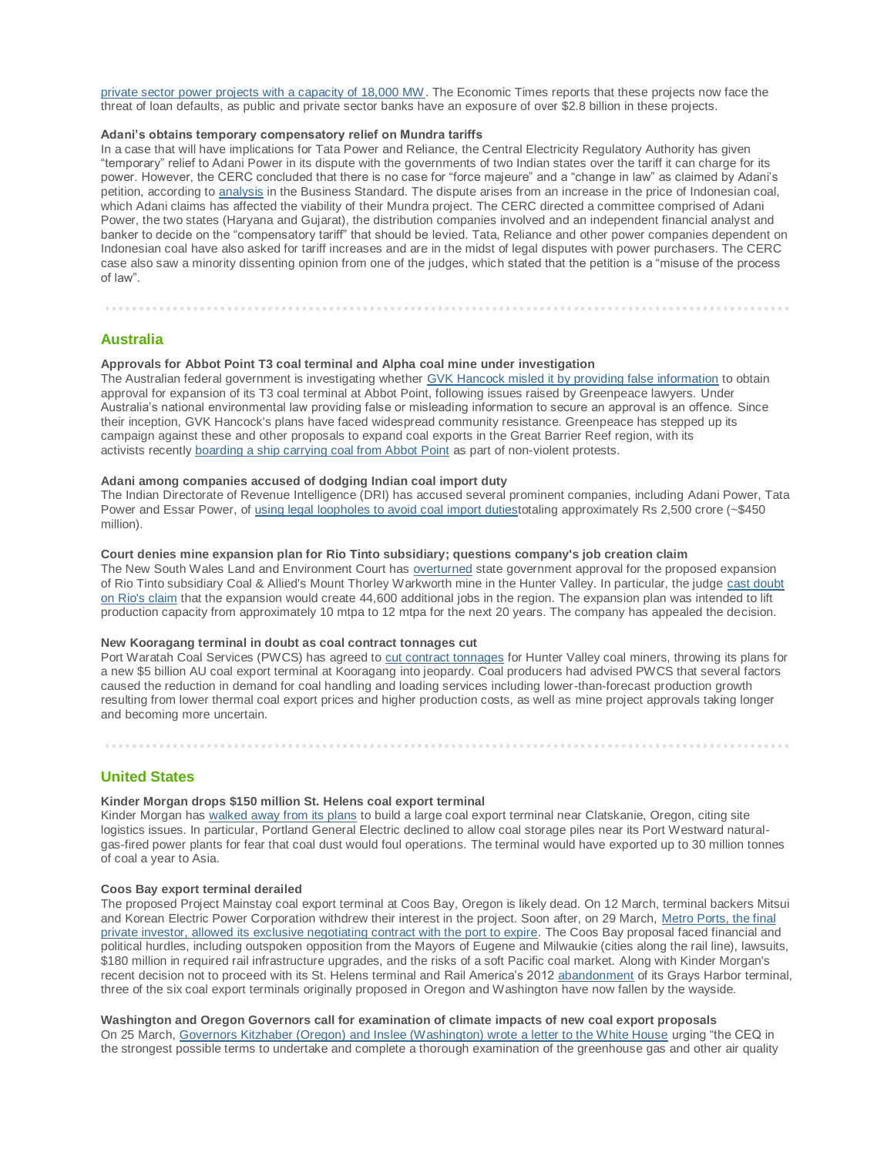[private sector power projects with a capacity of 18,000 MW.](http://www.financialexpress.com/news/adani-jindal-plants-to-bear-brunt-of-coallinkage-refusal/1096821) The Economic Times reports that these projects now face the threat of loan defaults, as public and private sector banks have an exposure of over \$2.8 billion in these projects.

#### **Adani's obtains temporary compensatory relief on Mundra tariffs**

In a case that will have implications for Tata Power and Reliance, the Central Electricity Regulatory Authority has given "temporary" relief to Adani Power in its dispute with the governments of two Indian states over the tariff it can charge for its power. However, the CERC concluded that there is no case for "force majeure" and a "change in law" as claimed by Adani's petition, according to [analysis](http://indianpowersector.com/home/2013/04/adani-power-cerc-order-not-so-positive/) in the Business Standard. The dispute arises from an increase in the price of Indonesian coal, which Adani claims has affected the viability of their Mundra project. The CERC directed a committee comprised of Adani Power, the two states (Haryana and Gujarat), the distribution companies involved and an independent financial analyst and banker to decide on the "compensatory tariff" that should be levied. Tata, Reliance and other power companies dependent on Indonesian coal have also asked for tariff increases and are in the midst of legal disputes with power purchasers. The CERC case also saw a minority dissenting opinion from one of the judges, which stated that the petition is a "misuse of the process of law".

#### **Australia**

#### **Approvals for Abbot Point T3 coal terminal and Alpha coal mine under investigation**

The Australian federal government is investigating whether [GVK Hancock misled it by providing false information](http://www.marketforces.org.au/media/releases/gvk-project-federal-investigation.html) to obtain approval for expansion of its T3 coal terminal at Abbot Point, following issues raised by Greenpeace lawyers. Under Australia's national environmental law providing false or misleading information to secure an approval is an offence. Since their inception, GVK Hancock's plans have faced widespread community resistance. Greenpeace has stepped up its campaign against these and other proposals to expand coal exports in the Great Barrier Reef region, with its activists recently [boarding a ship carrying coal from Abbot Point](http://www.greenpeace.org/australia/en/news/climate/A-call-to-action-Greenpeace-steps-in-to-halt-coal-/) as part of non-violent protests.

#### **Adani among companies accused of dodging Indian coal import duty**

The Indian Directorate of Revenue Intelligence (DRI) has accused several prominent companies, including Adani Power, Tata Power and Essar Power, of [using legal loopholes to avoid](http://articles.economictimes.indiatimes.com/2013-04-09/news/38404496_1_steam-coal-coal-imports-power-producers) [coal import](http://articles.economictimes.indiatimes.com/2013-04-09/news/38404496_1_steam-coal-coal-imports-power-producers) [dutiest](http://articles.economictimes.indiatimes.com/2013-04-09/news/38404496_1_steam-coal-coal-imports-power-producers)otaling approximately Rs 2,500 crore (~\$450 million).

#### **Court denies mine expansion plan for Rio Tinto subsidiary; questions company's job creation claim**

The New South Wales Land and Environment Court has [overturned](http://www.dailytelegraph.com.au/news/nsw-land-and-environment-court-sinks-rio-tinto-mine-expansion-plan-in-hunter-valley/story-e6freuy9-1226620864255) state government approval for the proposed expansion of Rio Tinto subsidiary Coal & Allied's Mount Thorley Warkworth mine in the Hunter Valley. In particular, the judge [cast doubt](http://www.smh.com.au/business/rio-fails-basic-maths-at-the-coalface-20130421-2i8b4.html)  [on Rio's claim](http://www.smh.com.au/business/rio-fails-basic-maths-at-the-coalface-20130421-2i8b4.html) that the expansion would create 44,600 additional jobs in the region. The expansion plan was intended to lift production capacity from approximately 10 mtpa to 12 mtpa for the next 20 years. The company has appealed the decision.

#### **New Kooragang terminal in doubt as coal contract tonnages cut**

Port Waratah Coal Services (PWCS) has agreed to [cut contract tonnages](http://www.theaustralian.com.au/business/mining-energy/new-kooragang-terminal-in-doubt-as-pwcs-cuts-coal-contract-tonnages/story-e6frg9e6-1226633835923) for Hunter Valley coal miners, throwing its plans for a new \$5 billion AU coal export terminal at Kooragang into jeopardy. Coal producers had advised PWCS that several factors caused the reduction in demand for coal handling and loading services including lower-than-forecast production growth resulting from lower thermal coal export prices and higher production costs, as well as mine project approvals taking longer and becoming more uncertain.

## **United States**

### **Kinder Morgan drops \$150 million St. Helens coal export terminal**

Kinder Morgan has [walked away from its plans](http://www.oregonlive.com/environment/index.ssf/2013/05/another_northwest_coal_export.html#incart_river) to build a large coal export terminal near Clatskanie, Oregon, citing site logistics issues. In particular, Portland General Electric declined to allow coal storage piles near its Port Westward naturalgas-fired power plants for fear that coal dust would foul operations. The terminal would have exported up to 30 million tonnes of coal a year to Asia.

#### **Coos Bay export terminal derailed**

The proposed Project Mainstay coal export terminal at Coos Bay, Oregon is likely dead. On 12 March, terminal backers Mitsui and Korean Electric Power Corporation withdrew their interest in the project. Soon after, on 29 March, [Metro Ports, the final](http://www.oregonlive.com/environment/index.ssf/2013/04/port_of_coos_bay_coal-export_p.html)  [private investor, allowed its exclusive negotiating contract with the port to expire.](http://www.oregonlive.com/environment/index.ssf/2013/04/port_of_coos_bay_coal-export_p.html) The Coos Bay proposal faced financial and political hurdles, including outspoken opposition from the Mayors of Eugene and Milwaukie (cities along the rail line), lawsuits, \$180 million in required rail infrastructure upgrades, and the risks of a soft Pacific coal market. Along with Kinder Morgan's recent decision not to proceed with its St. Helens terminal and Rail America's 2012 [abandonment](http://thedailyworld.com/sections/news/local/railamerica-drops-pursuit-coal-terminal-grays-harbor.html) of its Grays Harbor terminal, three of the six coal export terminals originally proposed in Oregon and Washington have now fallen by the wayside.

#### **Washington and Oregon Governors call for examination of climate impacts of new coal export proposals**

On 25 March, [Governors Kitzhaber \(Oregon\) and Inslee \(Washington\) wrote a letter to the White House](http://www.powerpastcoal.org/wp-content/uploads/2013/03/2013-03-25-kitzhaber-inslee-letter.pdf) urging "the CEQ in the strongest possible terms to undertake and complete a thorough examination of the greenhouse gas and other air quality